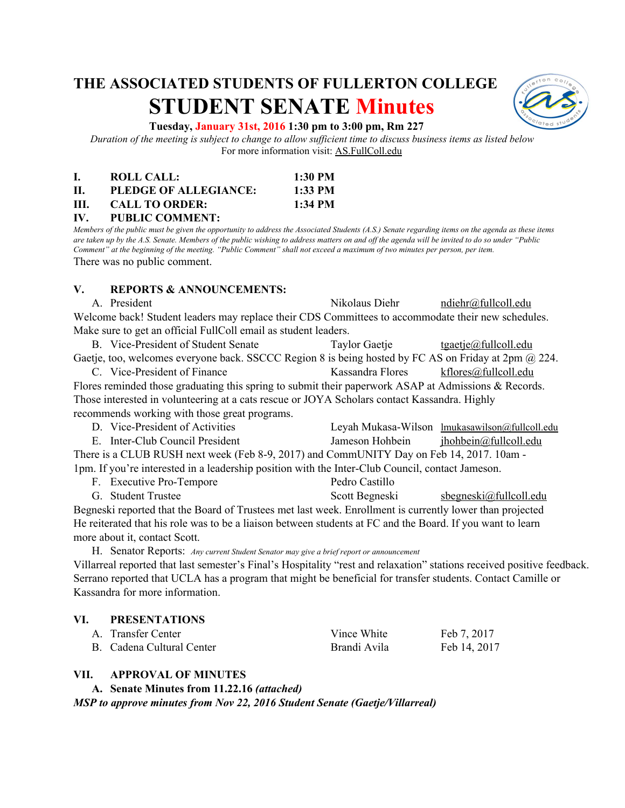# **THE ASSOCIATED STUDENTS OF FULLERTON COLLEGE STUDENT SENATE Minutes**



#### **Tuesday, January 31st, 2016 1:30 pm to 3:00 pm, Rm 227**

*Duration of the meeting is subject to change to allow sufficient time to discuss business items as listed below* For more information visit: AS.FullColl.edu

|     | <b>ROLL CALL:</b>     | $1:30$ PM |
|-----|-----------------------|-----------|
| П.  | PLEDGE OF ALLEGIANCE: | $1:33$ PM |
| HL. | <b>CALL TO ORDER:</b> | $1:34$ PM |

**IV. PUBLIC COMMENT:** *Members of the public must be given the opportunity to address the Associated Students (A.S.) Senate regarding items on the agenda as these items are taken up by the A.S. Senate. Members of the public wishing to address matters on and off the agenda will be invited to do so under "Public Comment" at the beginning of the meeting. "Public Comment" shall not exceed a maximum of two minutes per person, per item.*

There was no public comment.

#### **V. REPORTS & ANNOUNCEMENTS:**

A. President Nikolaus Diehr [ndiehr@fullcoll.edu](mailto:ndiehr@fullcoll.edu) Welcome back! Student leaders may replace their CDS Committees to accommodate their new schedules. Make sure to get an official FullColl email as student leaders.

B. Vice-President of Student Senate Taylor Gaetje [tgaetje@fullcoll.edu](mailto:tgaetje@fullcoll.edu) Gaetje, too, welcomes everyone back. SSCCC Region 8 is being hosted by FC AS on Friday at 2pm @ 224.

C. Vice-President of Finance Kassandra Flores [kflores@fullcoll.edu](mailto:kflores@fullcoll.edu) Flores reminded those graduating this spring to submit their paperwork ASAP at Admissions & Records. Those interested in volunteering at a cats rescue or JOYA Scholars contact Kassandra. Highly recommends working with those great programs.

| D. Vice-President of Activities                                                                  |                 | Leyah Mukasa-Wilson lmukasawilson@fullcoll.edu |  |
|--------------------------------------------------------------------------------------------------|-----------------|------------------------------------------------|--|
| E. Inter-Club Council President                                                                  | Jameson Hohbein | ihohbein@fullcoll.edu                          |  |
| There is a CLUB RUSH next week (Feb 8-9, 2017) and CommUNITY Day on Feb 14, 2017. 10am -         |                 |                                                |  |
| 1pm. If you're interested in a leadership position with the Inter-Club Council, contact Jameson. |                 |                                                |  |

| F. Executive Pro-Tempore     | Pedro Castillo |  |
|------------------------------|----------------|--|
| $\alpha$ $\alpha$ , $\alpha$ | $1.0011$ $11$  |  |

G. Student Trustee Scott Begneski sbegneski@fullcoll.edu Begneski reported that the Board of Trustees met last week. Enrollment is currently lower than projected He reiterated that his role was to be a liaison between students at FC and the Board. If you want to learn more about it, contact Scott.

H. Senator Reports: *Any current Student Senator may give a brief report or announcement* Villarreal reported that last semester's Final's Hospitality "rest and relaxation" stations received positive feedback. Serrano reported that UCLA has a program that might be beneficial for transfer students. Contact Camille or Kassandra for more information.

#### **VI. PRESENTATIONS**

| A. Transfer Center        | Vince White  | Feb 7, 2017  |
|---------------------------|--------------|--------------|
| B. Cadena Cultural Center | Brandi Avila | Feb 14, 2017 |

#### **VII. APPROVAL OF MINUTES**

**A. Senate Minutes from 11.22.16** *(attached) MSP to approve minutes from Nov 22, 2016 Student Senate (Gaetje/Villarreal)*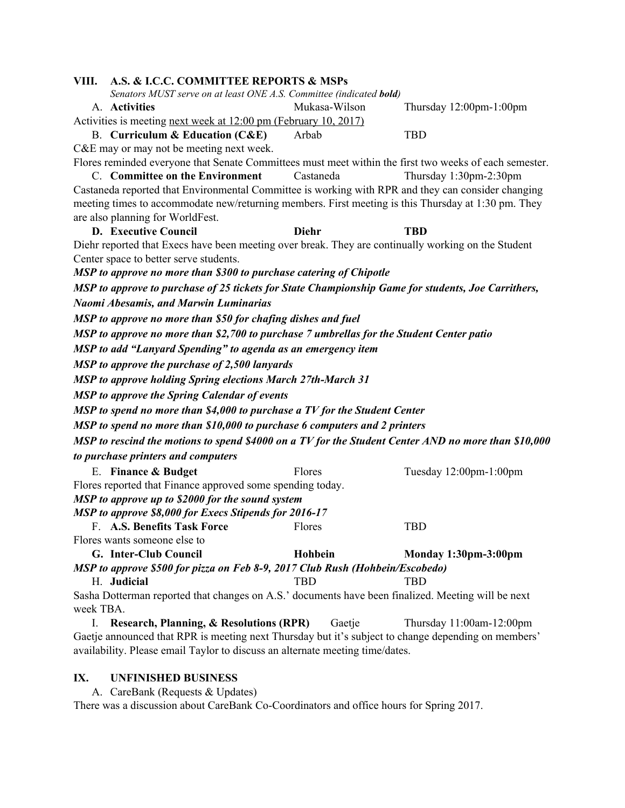| A.S. & I.C.C. COMMITTEE REPORTS & MSPs<br>VIII.                                                                                                                                  |  |
|----------------------------------------------------------------------------------------------------------------------------------------------------------------------------------|--|
| Senators MUST serve on at least ONE A.S. Committee (indicated bold)                                                                                                              |  |
| A. Activities<br>Mukasa-Wilson<br>Thursday 12:00pm-1:00pm                                                                                                                        |  |
| Activities is meeting next week at 12:00 pm (February 10, 2017)                                                                                                                  |  |
| <b>B.</b> Curriculum & Education (C&E)<br>Arbab<br><b>TBD</b>                                                                                                                    |  |
| C&E may or may not be meeting next week.                                                                                                                                         |  |
| Flores reminded everyone that Senate Committees must meet within the first two weeks of each semester.<br>C. Committee on the Environment<br>Castaneda<br>Thursday 1:30pm-2:30pm |  |
| Castaneda reported that Environmental Committee is working with RPR and they can consider changing                                                                               |  |
| meeting times to accommodate new/returning members. First meeting is this Thursday at 1:30 pm. They                                                                              |  |
| are also planning for WorldFest.                                                                                                                                                 |  |
| <b>D.</b> Executive Council<br><b>Diehr</b><br><b>TBD</b>                                                                                                                        |  |
| Diehr reported that Execs have been meeting over break. They are continually working on the Student                                                                              |  |
| Center space to better serve students.                                                                                                                                           |  |
| MSP to approve no more than \$300 to purchase catering of Chipotle                                                                                                               |  |
| MSP to approve to purchase of 25 tickets for State Championship Game for students, Joe Carrithers,                                                                               |  |
| Naomi Abesamis, and Marwin Luminarias                                                                                                                                            |  |
| MSP to approve no more than \$50 for chafing dishes and fuel                                                                                                                     |  |
| MSP to approve no more than \$2,700 to purchase 7 umbrellas for the Student Center patio                                                                                         |  |
| MSP to add "Lanyard Spending" to agenda as an emergency item                                                                                                                     |  |
| MSP to approve the purchase of 2,500 lanyards                                                                                                                                    |  |
| <b>MSP</b> to approve holding Spring elections March 27th-March 31                                                                                                               |  |
| <b>MSP</b> to approve the Spring Calendar of events                                                                                                                              |  |
| MSP to spend no more than \$4,000 to purchase a TV for the Student Center                                                                                                        |  |
| MSP to spend no more than \$10,000 to purchase 6 computers and 2 printers                                                                                                        |  |
| MSP to rescind the motions to spend \$4000 on a TV for the Student Center AND no more than \$10,000                                                                              |  |
| to purchase printers and computers                                                                                                                                               |  |
| E. Finance & Budget<br>Flores<br>Tuesday 12:00pm-1:00pm                                                                                                                          |  |
| Flores reported that Finance approved some spending today.                                                                                                                       |  |
| MSP to approve up to \$2000 for the sound system                                                                                                                                 |  |
| MSP to approve \$8,000 for Execs Stipends for 2016-17                                                                                                                            |  |
| F. A.S. Benefits Task Force<br><b>TBD</b><br>Flores                                                                                                                              |  |
| Flores wants someone else to                                                                                                                                                     |  |
| G. Inter-Club Council<br>Hohbein<br><b>Monday 1:30pm-3:00pm</b>                                                                                                                  |  |
| MSP to approve \$500 for pizza on Feb 8-9, 2017 Club Rush (Hohbein/Escobedo)                                                                                                     |  |
| H. Judicial<br><b>TBD</b><br><b>TBD</b>                                                                                                                                          |  |
| Sasha Dotterman reported that changes on A.S.' documents have been finalized. Meeting will be next<br>week TBA.                                                                  |  |
| <b>Research, Planning, &amp; Resolutions (RPR)</b><br>Gaetje<br>Thursday 11:00am-12:00pm<br>I.                                                                                   |  |
| Gaetje announced that RPR is meeting next Thursday but it's subject to change depending on members'                                                                              |  |
| availability. Please email Taylor to discuss an alternate meeting time/dates.                                                                                                    |  |

# **IX. UNFINISHED BUSINESS**

A. CareBank (Requests & Updates) There was a discussion about CareBank Co-Coordinators and office hours for Spring 2017.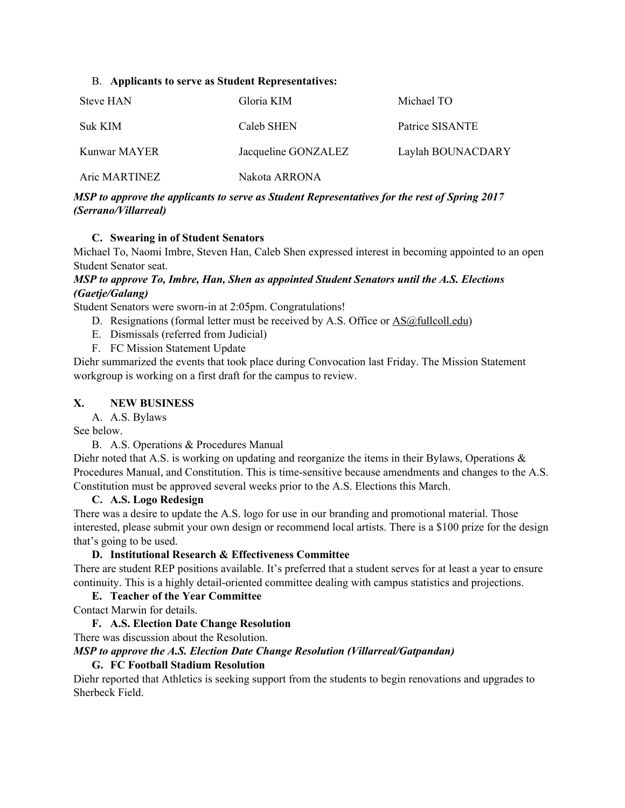#### B. **Applicants to serve as Student Representatives:**

| Steve HAN     | Gloria KIM          | Michael TO        |
|---------------|---------------------|-------------------|
| Suk KIM       | Caleb SHEN          | Patrice SISANTE   |
| Kunwar MAYER  | Jacqueline GONZALEZ | Laylah BOUNACDARY |
| Aric MARTINEZ | Nakota ARRONA       |                   |

## *MSP to approve the applicants to serve as Student Representatives for the rest of Spring 2017 (Serrano/Villarreal)*

## **C. Swearing in of Student Senators**

Michael To, Naomi Imbre, Steven Han, Caleb Shen expressed interest in becoming appointed to an open Student Senator seat.

# *MSP to approve To, Imbre, Han, Shen as appointed Student Senators until the A.S. Elections (Gaetje/Galang)*

Student Senators were sworn-in at 2:05pm. Congratulations!

- D. Resignations (formal letter must be received by A.S. Office or [AS@fullcoll.edu\)](mailto:AS@fullcoll.edu)
- E. Dismissals (referred from Judicial)
- F. FC Mission Statement Update

Diehr summarized the events that took place during Convocation last Friday. The Mission Statement workgroup is working on a first draft for the campus to review.

## **X. NEW BUSINESS**

A. A.S. Bylaws

See below.

B. A.S. Operations & Procedures Manual

Diehr noted that A.S. is working on updating and reorganize the items in their Bylaws, Operations & Procedures Manual, and Constitution. This is time-sensitive because amendments and changes to the A.S. Constitution must be approved several weeks prior to the A.S. Elections this March.

## **C. A.S. Logo Redesign**

There was a desire to update the A.S. logo for use in our branding and promotional material. Those interested, please submit your own design or recommend local artists. There is a \$100 prize for the design that's going to be used.

## **D. Institutional Research & Effectiveness Committee**

There are student REP positions available. It's preferred that a student serves for at least a year to ensure continuity. This is a highly detail-oriented committee dealing with campus statistics and projections.

## **E. Teacher of the Year Committee**

Contact Marwin for details.

## **F. A.S. Election Date Change Resolution**

There was discussion about the Resolution. *MSP to approve the A.S. Election Date Change Resolution (Villarreal/Gatpandan)*

# **G. FC Football Stadium Resolution**

Diehr reported that Athletics is seeking support from the students to begin renovations and upgrades to Sherbeck Field.